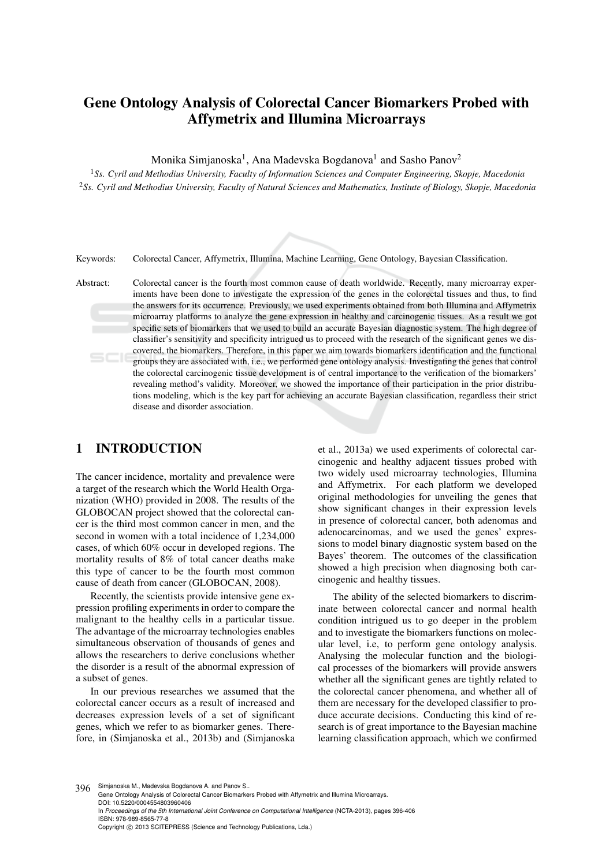# Gene Ontology Analysis of Colorectal Cancer Biomarkers Probed with Affymetrix and Illumina Microarrays

Monika Simjanoska $^{\rm l}$ , Ana Madevska Bogdanova $^{\rm l}$  and Sasho Panov $^{\rm 2}$ 

<sup>1</sup>*Ss. Cyril and Methodius University, Faculty of Information Sciences and Computer Engineering, Skopje, Macedonia* <sup>2</sup>*Ss. Cyril and Methodius University, Faculty of Natural Sciences and Mathematics, Institute of Biology, Skopje, Macedonia*



Abstract: Colorectal cancer is the fourth most common cause of death worldwide. Recently, many microarray experiments have been done to investigate the expression of the genes in the colorectal tissues and thus, to find the answers for its occurrence. Previously, we used experiments obtained from both Illumina and Affymetrix microarray platforms to analyze the gene expression in healthy and carcinogenic tissues. As a result we got specific sets of biomarkers that we used to build an accurate Bayesian diagnostic system. The high degree of classifier's sensitivity and specificity intrigued us to proceed with the research of the significant genes we discovered, the biomarkers. Therefore, in this paper we aim towards biomarkers identification and the functional groups they are associated with, i.e., we performed gene ontology analysis. Investigating the genes that control the colorectal carcinogenic tissue development is of central importance to the verification of the biomarkers' revealing method's validity. Moreover, we showed the importance of their participation in the prior distributions modeling, which is the key part for achieving an accurate Bayesian classification, regardless their strict disease and disorder association.

## 1 INTRODUCTION

The cancer incidence, mortality and prevalence were a target of the research which the World Health Organization (WHO) provided in 2008. The results of the GLOBOCAN project showed that the colorectal cancer is the third most common cancer in men, and the second in women with a total incidence of 1,234,000 cases, of which 60% occur in developed regions. The mortality results of 8% of total cancer deaths make this type of cancer to be the fourth most common cause of death from cancer (GLOBOCAN, 2008).

Recently, the scientists provide intensive gene expression profiling experiments in order to compare the malignant to the healthy cells in a particular tissue. The advantage of the microarray technologies enables simultaneous observation of thousands of genes and allows the researchers to derive conclusions whether the disorder is a result of the abnormal expression of a subset of genes.

In our previous researches we assumed that the colorectal cancer occurs as a result of increased and decreases expression levels of a set of significant genes, which we refer to as biomarker genes. Therefore, in (Simjanoska et al., 2013b) and (Simjanoska et al., 2013a) we used experiments of colorectal carcinogenic and healthy adjacent tissues probed with two widely used microarray technologies, Illumina and Affymetrix. For each platform we developed original methodologies for unveiling the genes that show significant changes in their expression levels in presence of colorectal cancer, both adenomas and adenocarcinomas, and we used the genes' expressions to model binary diagnostic system based on the Bayes' theorem. The outcomes of the classification showed a high precision when diagnosing both carcinogenic and healthy tissues.

The ability of the selected biomarkers to discriminate between colorectal cancer and normal health condition intrigued us to go deeper in the problem and to investigate the biomarkers functions on molecular level, i.e, to perform gene ontology analysis. Analysing the molecular function and the biological processes of the biomarkers will provide answers whether all the significant genes are tightly related to the colorectal cancer phenomena, and whether all of them are necessary for the developed classifier to produce accurate decisions. Conducting this kind of research is of great importance to the Bayesian machine learning classification approach, which we confirmed

396 Simjanoska M., Madevska Bogdanova A. and Panov S.. Gene Ontology Analysis of Colorectal Cancer Biomarkers Probed with Affymetrix and Illumina Microarrays. DOI: 10.5220/0004554803960406 In *Proceedings of the 5th International Joint Conference on Computational Intelligence* (NCTA-2013), pages 396-406 ISBN: 978-989-8565-77-8 Copyright (C) 2013 SCITEPRESS (Science and Technology Publications, Lda.)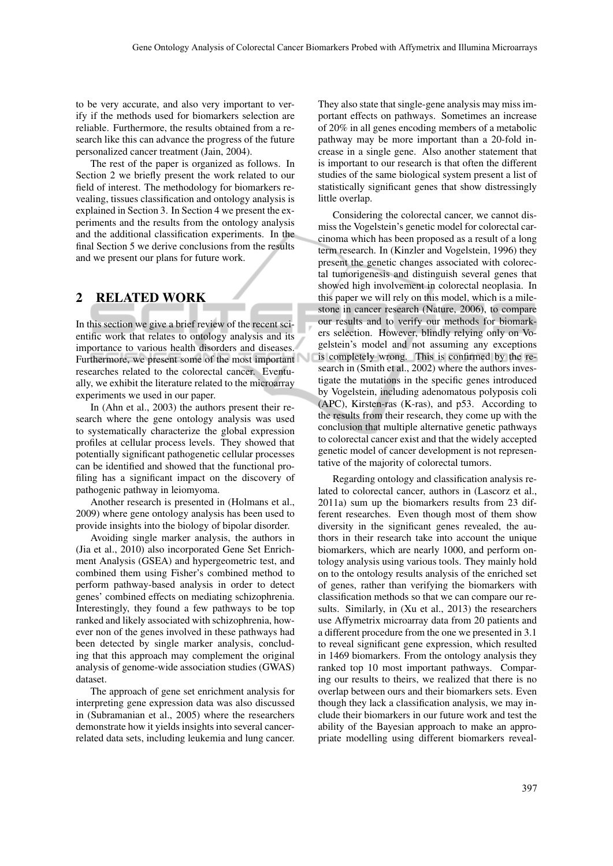to be very accurate, and also very important to verify if the methods used for biomarkers selection are reliable. Furthermore, the results obtained from a research like this can advance the progress of the future personalized cancer treatment (Jain, 2004).

The rest of the paper is organized as follows. In Section 2 we briefly present the work related to our field of interest. The methodology for biomarkers revealing, tissues classification and ontology analysis is explained in Section 3. In Section 4 we present the experiments and the results from the ontology analysis and the additional classification experiments. In the final Section 5 we derive conclusions from the results and we present our plans for future work.

### 2 RELATED WORK

In this section we give a brief review of the recent scientific work that relates to ontology analysis and its importance to various health disorders and diseases. Furthermore, we present some of the most important researches related to the colorectal cancer. Eventually, we exhibit the literature related to the microarray experiments we used in our paper.

In (Ahn et al., 2003) the authors present their research where the gene ontology analysis was used to systematically characterize the global expression profiles at cellular process levels. They showed that potentially significant pathogenetic cellular processes can be identified and showed that the functional profiling has a significant impact on the discovery of pathogenic pathway in leiomyoma.

Another research is presented in (Holmans et al., 2009) where gene ontology analysis has been used to provide insights into the biology of bipolar disorder.

Avoiding single marker analysis, the authors in (Jia et al., 2010) also incorporated Gene Set Enrichment Analysis (GSEA) and hypergeometric test, and combined them using Fisher's combined method to perform pathway-based analysis in order to detect genes' combined effects on mediating schizophrenia. Interestingly, they found a few pathways to be top ranked and likely associated with schizophrenia, however non of the genes involved in these pathways had been detected by single marker analysis, concluding that this approach may complement the original analysis of genome-wide association studies (GWAS) dataset.

The approach of gene set enrichment analysis for interpreting gene expression data was also discussed in (Subramanian et al., 2005) where the researchers demonstrate how it yields insights into several cancerrelated data sets, including leukemia and lung cancer. They also state that single-gene analysis may miss important effects on pathways. Sometimes an increase of 20% in all genes encoding members of a metabolic pathway may be more important than a 20-fold increase in a single gene. Also another statement that is important to our research is that often the different studies of the same biological system present a list of statistically significant genes that show distressingly little overlap.

Considering the colorectal cancer, we cannot dismiss the Vogelstein's genetic model for colorectal carcinoma which has been proposed as a result of a long term research. In (Kinzler and Vogelstein, 1996) they present the genetic changes associated with colorectal tumorigenesis and distinguish several genes that showed high involvement in colorectal neoplasia. In this paper we will rely on this model, which is a milestone in cancer research (Nature, 2006), to compare our results and to verify our methods for biomarkers selection. However, blindly relying only on Vogelstein's model and not assuming any exceptions is completely wrong. This is confirmed by the research in (Smith et al., 2002) where the authors investigate the mutations in the specific genes introduced by Vogelstein, including adenomatous polyposis coli (APC), Kirsten-ras (K-ras), and p53. According to the results from their research, they come up with the conclusion that multiple alternative genetic pathways to colorectal cancer exist and that the widely accepted genetic model of cancer development is not representative of the majority of colorectal tumors.

Regarding ontology and classification analysis related to colorectal cancer, authors in (Lascorz et al., 2011a) sum up the biomarkers results from 23 different researches. Even though most of them show diversity in the significant genes revealed, the authors in their research take into account the unique biomarkers, which are nearly 1000, and perform ontology analysis using various tools. They mainly hold on to the ontology results analysis of the enriched set of genes, rather than verifying the biomarkers with classification methods so that we can compare our results. Similarly, in (Xu et al., 2013) the researchers use Affymetrix microarray data from 20 patients and a different procedure from the one we presented in 3.1 to reveal significant gene expression, which resulted in 1469 biomarkers. From the ontology analysis they ranked top 10 most important pathways. Comparing our results to theirs, we realized that there is no overlap between ours and their biomarkers sets. Even though they lack a classification analysis, we may include their biomarkers in our future work and test the ability of the Bayesian approach to make an appropriate modelling using different biomarkers reveal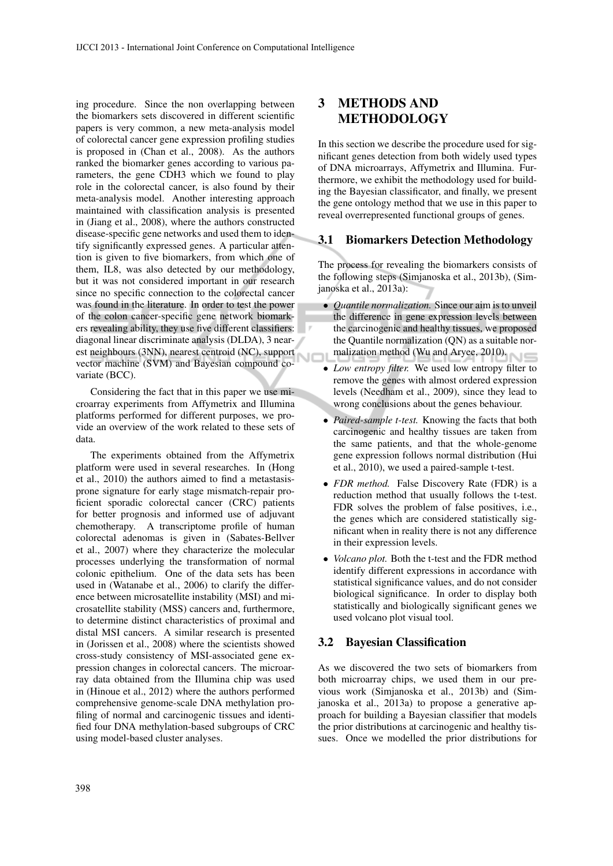ing procedure. Since the non overlapping between the biomarkers sets discovered in different scientific papers is very common, a new meta-analysis model of colorectal cancer gene expression profiling studies is proposed in (Chan et al., 2008). As the authors ranked the biomarker genes according to various parameters, the gene CDH3 which we found to play role in the colorectal cancer, is also found by their meta-analysis model. Another interesting approach maintained with classification analysis is presented in (Jiang et al., 2008), where the authors constructed disease-specific gene networks and used them to identify significantly expressed genes. A particular attention is given to five biomarkers, from which one of them, IL8, was also detected by our methodology, but it was not considered important in our research since no specific connection to the colorectal cancer was found in the literature. In order to test the power of the colon cancer-specific gene network biomarkers revealing ability, they use five different classifiers: diagonal linear discriminate analysis (DLDA), 3 nearest neighbours (3NN), nearest centroid (NC), support vector machine (SVM) and Bayesian compound covariate (BCC).

Considering the fact that in this paper we use microarray experiments from Affymetrix and Illumina platforms performed for different purposes, we provide an overview of the work related to these sets of data.

The experiments obtained from the Affymetrix platform were used in several researches. In (Hong et al., 2010) the authors aimed to find a metastasisprone signature for early stage mismatch-repair proficient sporadic colorectal cancer (CRC) patients for better prognosis and informed use of adjuvant chemotherapy. A transcriptome profile of human colorectal adenomas is given in (Sabates-Bellver et al., 2007) where they characterize the molecular processes underlying the transformation of normal colonic epithelium. One of the data sets has been used in (Watanabe et al., 2006) to clarify the difference between microsatellite instability (MSI) and microsatellite stability (MSS) cancers and, furthermore, to determine distinct characteristics of proximal and distal MSI cancers. A similar research is presented in (Jorissen et al., 2008) where the scientists showed cross-study consistency of MSI-associated gene expression changes in colorectal cancers. The microarray data obtained from the Illumina chip was used in (Hinoue et al., 2012) where the authors performed comprehensive genome-scale DNA methylation profiling of normal and carcinogenic tissues and identified four DNA methylation-based subgroups of CRC using model-based cluster analyses.

# 3 METHODS AND METHODOLOGY

In this section we describe the procedure used for significant genes detection from both widely used types of DNA microarrays, Affymetrix and Illumina. Furthermore, we exhibit the methodology used for building the Bayesian classificator, and finally, we present the gene ontology method that we use in this paper to reveal overrepresented functional groups of genes.

#### 3.1 Biomarkers Detection Methodology

The process for revealing the biomarkers consists of the following steps (Simjanoska et al., 2013b), (Simjanoska et al., 2013a):

- *Quantile normalization.* Since our aim is to unveil the difference in gene expression levels between the carcinogenic and healthy tissues, we proposed the Quantile normalization (QN) as a suitable normalization method (Wu and Aryee, 2010). NO
	- *Low entropy filter.* We used low entropy filter to remove the genes with almost ordered expression levels (Needham et al., 2009), since they lead to wrong conclusions about the genes behaviour.
	- *Paired-sample t-test.* Knowing the facts that both carcinogenic and healthy tissues are taken from the same patients, and that the whole-genome gene expression follows normal distribution (Hui et al., 2010), we used a paired-sample t-test.
	- *FDR method.* False Discovery Rate (FDR) is a reduction method that usually follows the t-test. FDR solves the problem of false positives, i.e., the genes which are considered statistically significant when in reality there is not any difference in their expression levels.
	- *Volcano plot.* Both the t-test and the FDR method identify different expressions in accordance with statistical significance values, and do not consider biological significance. In order to display both statistically and biologically significant genes we used volcano plot visual tool.

#### 3.2 Bayesian Classification

As we discovered the two sets of biomarkers from both microarray chips, we used them in our previous work (Simjanoska et al., 2013b) and (Simjanoska et al., 2013a) to propose a generative approach for building a Bayesian classifier that models the prior distributions at carcinogenic and healthy tissues. Once we modelled the prior distributions for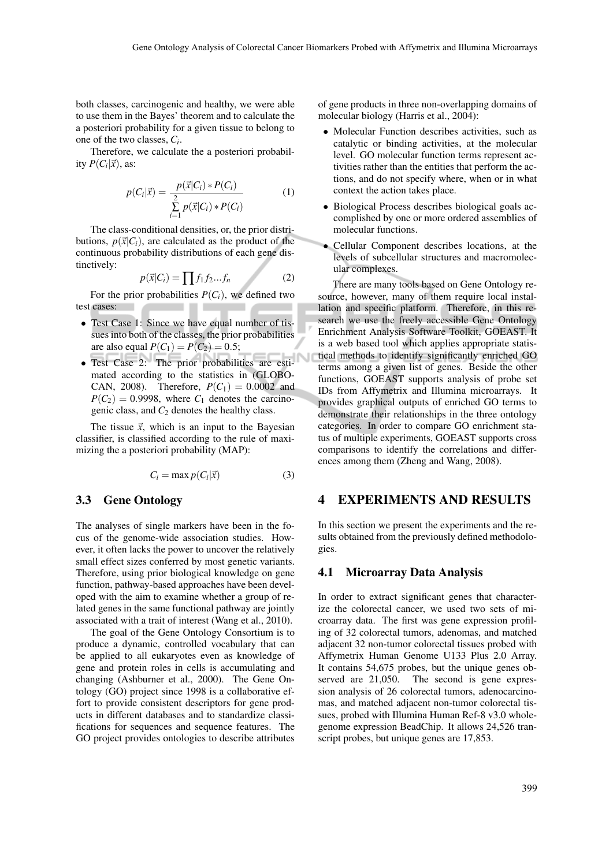both classes, carcinogenic and healthy, we were able to use them in the Bayes' theorem and to calculate the a posteriori probability for a given tissue to belong to one of the two classes, *C<sup>i</sup>* .

Therefore, we calculate the a posteriori probability  $P(C_i|\vec{x})$ , as:

$$
p(C_i|\vec{x}) = \frac{p(\vec{x}|C_i) * P(C_i)}{\sum_{i=1}^{2} p(\vec{x}|C_i) * P(C_i)}
$$
(1)

The class-conditional densities, or, the prior distributions,  $p(\vec{x}|C_i)$ , are calculated as the product of the continuous probability distributions of each gene distinctively:

$$
p(\vec{x}|C_i) = \prod f_1 f_2 ... f_n \tag{2}
$$

For the prior probabilities  $P(C_i)$ , we defined two test cases:  $\sim$   $\sim$ 

- Test Case 1: Since we have equal number of tissues into both of the classes, the prior probabilities are also equal  $P(C_1) = P(C_2) = 0.5$ ;
- Test Case 2: The prior probabilities are estimated according to the statistics in (GLOBO-CAN, 2008). Therefore,  $P(C_1) = 0.0002$  and  $P(C_2) = 0.9998$ , where  $C_1$  denotes the carcinogenic class, and *C*<sup>2</sup> denotes the healthy class.

The tissue  $\vec{x}$ , which is an input to the Bayesian classifier, is classified according to the rule of maximizing the a posteriori probability (MAP):

$$
C_i = \max p(C_i|\vec{x})
$$
 (3)

#### 3.3 Gene Ontology

The analyses of single markers have been in the focus of the genome-wide association studies. However, it often lacks the power to uncover the relatively small effect sizes conferred by most genetic variants. Therefore, using prior biological knowledge on gene function, pathway-based approaches have been developed with the aim to examine whether a group of related genes in the same functional pathway are jointly associated with a trait of interest (Wang et al., 2010).

The goal of the Gene Ontology Consortium is to produce a dynamic, controlled vocabulary that can be applied to all eukaryotes even as knowledge of gene and protein roles in cells is accumulating and changing (Ashburner et al., 2000). The Gene Ontology (GO) project since 1998 is a collaborative effort to provide consistent descriptors for gene products in different databases and to standardize classifications for sequences and sequence features. The GO project provides ontologies to describe attributes of gene products in three non-overlapping domains of molecular biology (Harris et al., 2004):

- Molecular Function describes activities, such as catalytic or binding activities, at the molecular level. GO molecular function terms represent activities rather than the entities that perform the actions, and do not specify where, when or in what context the action takes place.
- Biological Process describes biological goals accomplished by one or more ordered assemblies of molecular functions.
- Cellular Component describes locations, at the levels of subcellular structures and macromolecular complexes.

There are many tools based on Gene Ontology resource, however, many of them require local installation and specific platform. Therefore, in this research we use the freely accessible Gene Ontology Enrichment Analysis Software Toolkit, GOEAST. It is a web based tool which applies appropriate statistical methods to identify significantly enriched GO terms among a given list of genes. Beside the other functions, GOEAST supports analysis of probe set IDs from Affymetrix and Illumina microarrays. It provides graphical outputs of enriched GO terms to demonstrate their relationships in the three ontology categories. In order to compare GO enrichment status of multiple experiments, GOEAST supports cross comparisons to identify the correlations and differences among them (Zheng and Wang, 2008).

### 4 EXPERIMENTS AND RESULTS

In this section we present the experiments and the results obtained from the previously defined methodologies.

#### 4.1 Microarray Data Analysis

In order to extract significant genes that characterize the colorectal cancer, we used two sets of microarray data. The first was gene expression profiling of 32 colorectal tumors, adenomas, and matched adjacent 32 non-tumor colorectal tissues probed with Affymetrix Human Genome U133 Plus 2.0 Array. It contains 54,675 probes, but the unique genes observed are 21,050. The second is gene expression analysis of 26 colorectal tumors, adenocarcinomas, and matched adjacent non-tumor colorectal tissues, probed with Illumina Human Ref-8 v3.0 wholegenome expression BeadChip. It allows 24,526 transcript probes, but unique genes are 17,853.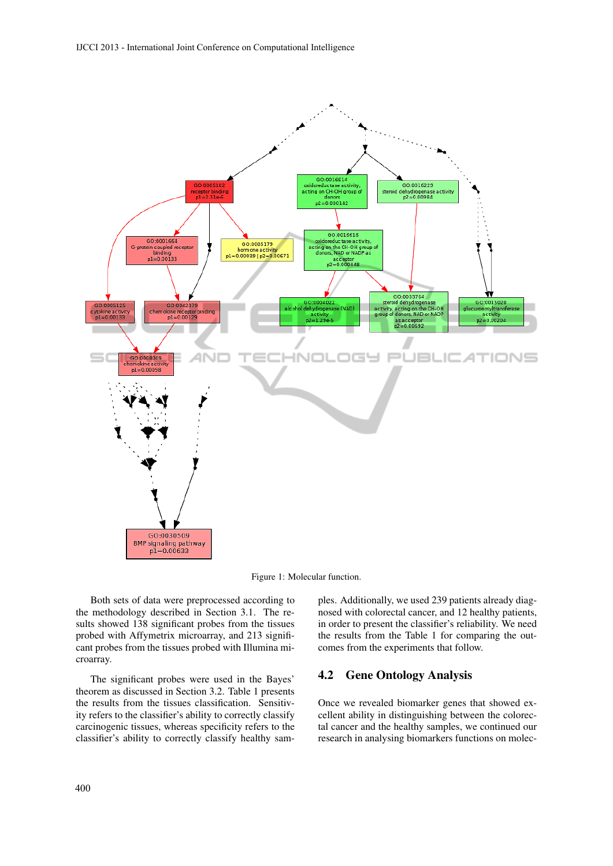

Figure 1: Molecular function.

Both sets of data were preprocessed according to the methodology described in Section 3.1. The results showed 138 significant probes from the tissues probed with Affymetrix microarray, and 213 significant probes from the tissues probed with Illumina microarray.

The significant probes were used in the Bayes' theorem as discussed in Section 3.2. Table 1 presents the results from the tissues classification. Sensitivity refers to the classifier's ability to correctly classify carcinogenic tissues, whereas specificity refers to the classifier's ability to correctly classify healthy samples. Additionally, we used 239 patients already diagnosed with colorectal cancer, and 12 healthy patients, in order to present the classifier's reliability. We need the results from the Table 1 for comparing the outcomes from the experiments that follow.

#### 4.2 Gene Ontology Analysis

Once we revealed biomarker genes that showed excellent ability in distinguishing between the colorectal cancer and the healthy samples, we continued our research in analysing biomarkers functions on molec-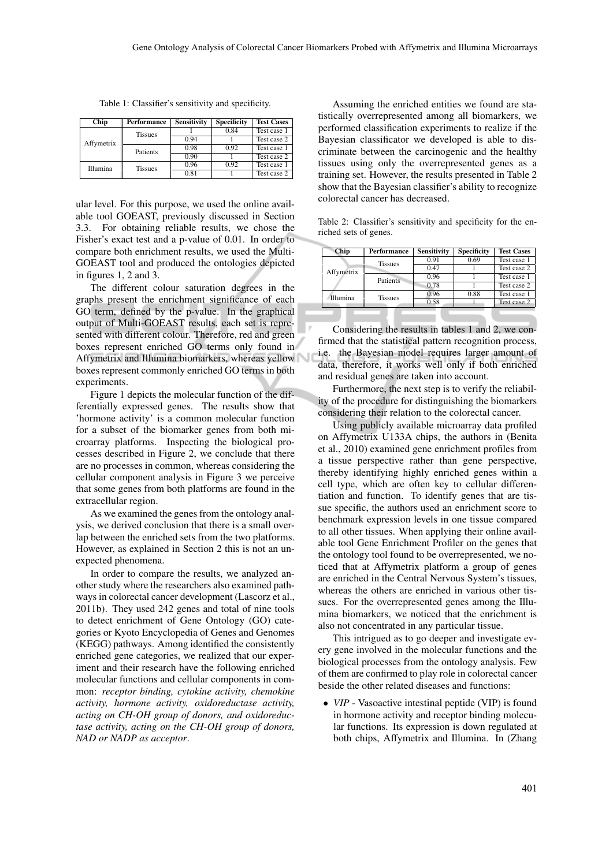| Chip       | <b>Performance</b> | <b>Sensitivity</b> | <b>Specificity</b> | <b>Test Cases</b> |
|------------|--------------------|--------------------|--------------------|-------------------|
| Affymetrix | <b>Tissues</b>     |                    | 0.84               | Test case 1       |
|            |                    | 0.94               |                    | Test case 2       |
|            | Patients           | 0.98               | 0.92               | Test case 1       |
|            |                    | 0.90               |                    | Test case 2       |
| Illumina   | <b>Tissues</b>     | 0.96               | 0.92               | Test case 1       |
|            |                    | 0.81               |                    | Test case 2       |

Table 1: Classifier's sensitivity and specificity.

ular level. For this purpose, we used the online available tool GOEAST, previously discussed in Section 3.3. For obtaining reliable results, we chose the Fisher's exact test and a p-value of 0.01. In order to compare both enrichment results, we used the Multi-GOEAST tool and produced the ontologies depicted in figures 1, 2 and 3.

The different colour saturation degrees in the graphs present the enrichment significance of each GO term, defined by the p-value. In the graphical output of Multi-GOEAST results, each set is represented with different colour. Therefore, red and green boxes represent enriched GO terms only found in Affymetrix and Illumina biomarkers, whereas yellow boxes represent commonly enriched GO terms in both experiments.

Figure 1 depicts the molecular function of the differentially expressed genes. The results show that 'hormone activity' is a common molecular function for a subset of the biomarker genes from both microarray platforms. Inspecting the biological processes described in Figure 2, we conclude that there are no processes in common, whereas considering the cellular component analysis in Figure 3 we perceive that some genes from both platforms are found in the extracellular region.

As we examined the genes from the ontology analysis, we derived conclusion that there is a small overlap between the enriched sets from the two platforms. However, as explained in Section 2 this is not an unexpected phenomena.

In order to compare the results, we analyzed another study where the researchers also examined pathways in colorectal cancer development (Lascorz et al., 2011b). They used 242 genes and total of nine tools to detect enrichment of Gene Ontology (GO) categories or Kyoto Encyclopedia of Genes and Genomes (KEGG) pathways. Among identified the consistently enriched gene categories, we realized that our experiment and their research have the following enriched molecular functions and cellular components in common: *receptor binding, cytokine activity, chemokine activity, hormone activity, oxidoreductase activity, acting on CH-OH group of donors, and oxidoreductase activity, acting on the CH-OH group of donors, NAD or NADP as acceptor*.

Assuming the enriched entities we found are statistically overrepresented among all biomarkers, we performed classification experiments to realize if the Bayesian classificator we developed is able to discriminate between the carcinogenic and the healthy tissues using only the overrepresented genes as a training set. However, the results presented in Table 2 show that the Bayesian classifier's ability to recognize colorectal cancer has decreased.

Table 2: Classifier's sensitivity and specificity for the enriched sets of genes.

| <b>Chip</b> | <b>Performance</b> | <b>Sensitivity</b> | <b>Specificity</b> | <b>Test Cases</b> |
|-------------|--------------------|--------------------|--------------------|-------------------|
| Affymetrix  | <b>Tissues</b>     | 0.91               | 0.69               | Test case 1       |
|             |                    | 0.47               |                    | Test case 2       |
|             | Patients           | 0.96               |                    | Test case 1       |
|             |                    | 0.78               |                    | Test case 2       |
| Illumina    | <b>Tissues</b>     | 0.96               | 0.88               | Test case 1       |
|             |                    | 0.58               |                    | Test case 2       |
|             |                    |                    |                    |                   |

Considering the results in tables 1 and 2, we confirmed that the statistical pattern recognition process, i.e. the Bayesian model requires larger amount of data, therefore, it works well only if both enriched and residual genes are taken into account.

Furthermore, the next step is to verify the reliability of the procedure for distinguishing the biomarkers considering their relation to the colorectal cancer.

Using publicly available microarray data profiled on Affymetrix U133A chips, the authors in (Benita et al., 2010) examined gene enrichment profiles from a tissue perspective rather than gene perspective, thereby identifying highly enriched genes within a cell type, which are often key to cellular differentiation and function. To identify genes that are tissue specific, the authors used an enrichment score to benchmark expression levels in one tissue compared to all other tissues. When applying their online available tool Gene Enrichment Profiler on the genes that the ontology tool found to be overrepresented, we noticed that at Affymetrix platform a group of genes are enriched in the Central Nervous System's tissues, whereas the others are enriched in various other tissues. For the overrepresented genes among the Illumina biomarkers, we noticed that the enrichment is also not concentrated in any particular tissue.

This intrigued as to go deeper and investigate every gene involved in the molecular functions and the biological processes from the ontology analysis. Few of them are confirmed to play role in colorectal cancer beside the other related diseases and functions:

• *VIP* - Vasoactive intestinal peptide (VIP) is found in hormone activity and receptor binding molecular functions. Its expression is down regulated at both chips, Affymetrix and Illumina. In (Zhang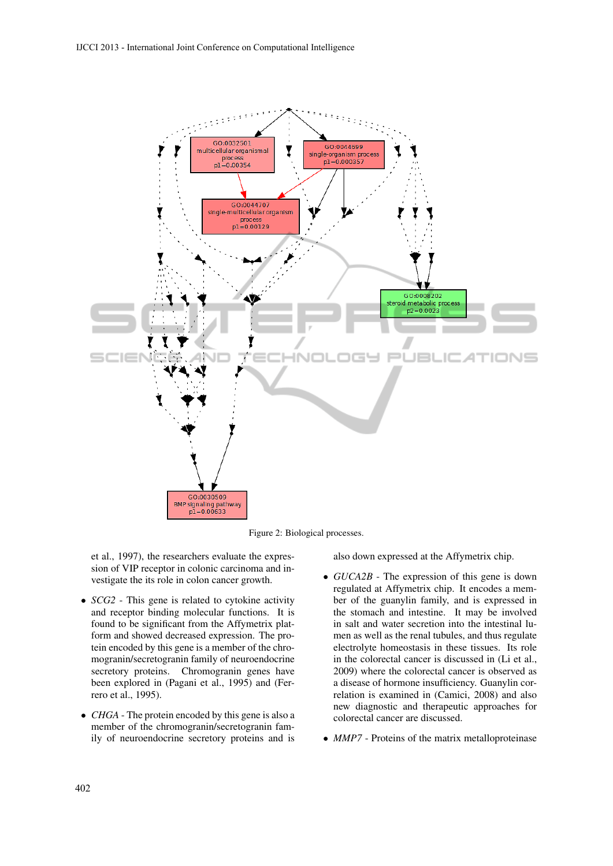

Figure 2: Biological processes.

et al., 1997), the researchers evaluate the expression of VIP receptor in colonic carcinoma and investigate the its role in colon cancer growth.

- *SCG2* This gene is related to cytokine activity and receptor binding molecular functions. It is found to be significant from the Affymetrix platform and showed decreased expression. The protein encoded by this gene is a member of the chromogranin/secretogranin family of neuroendocrine secretory proteins. Chromogranin genes have been explored in (Pagani et al., 1995) and (Ferrero et al., 1995).
- *CHGA* The protein encoded by this gene is also a member of the chromogranin/secretogranin family of neuroendocrine secretory proteins and is

also down expressed at the Affymetrix chip.

- *GUCA2B* The expression of this gene is down regulated at Affymetrix chip. It encodes a member of the guanylin family, and is expressed in the stomach and intestine. It may be involved in salt and water secretion into the intestinal lumen as well as the renal tubules, and thus regulate electrolyte homeostasis in these tissues. Its role in the colorectal cancer is discussed in (Li et al., 2009) where the colorectal cancer is observed as a disease of hormone insufficiency. Guanylin correlation is examined in (Camici, 2008) and also new diagnostic and therapeutic approaches for colorectal cancer are discussed.
- *MMP7* Proteins of the matrix metalloproteinase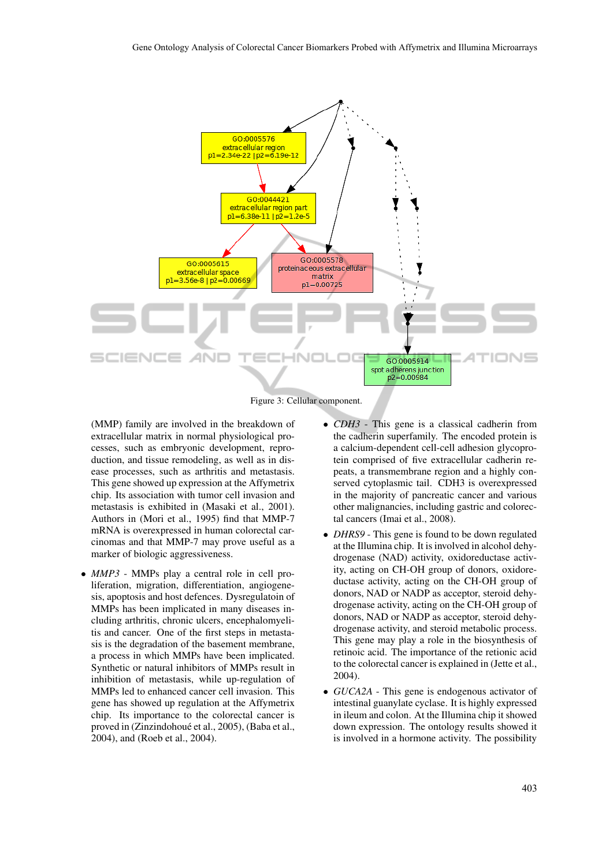

Figure 3: Cellular component.

(MMP) family are involved in the breakdown of extracellular matrix in normal physiological processes, such as embryonic development, reproduction, and tissue remodeling, as well as in disease processes, such as arthritis and metastasis. This gene showed up expression at the Affymetrix chip. Its association with tumor cell invasion and metastasis is exhibited in (Masaki et al., 2001). Authors in (Mori et al., 1995) find that MMP-7 mRNA is overexpressed in human colorectal carcinomas and that MMP-7 may prove useful as a marker of biologic aggressiveness.

- *MMP3* MMPs play a central role in cell proliferation, migration, differentiation, angiogenesis, apoptosis and host defences. Dysregulatoin of MMPs has been implicated in many diseases including arthritis, chronic ulcers, encephalomyelitis and cancer. One of the first steps in metastasis is the degradation of the basement membrane, a process in which MMPs have been implicated. Synthetic or natural inhibitors of MMPs result in inhibition of metastasis, while up-regulation of MMPs led to enhanced cancer cell invasion. This gene has showed up regulation at the Affymetrix chip. Its importance to the colorectal cancer is proved in (Zinzindohoué et al., 2005), (Baba et al., 2004), and (Roeb et al., 2004).
- *CDH3* This gene is a classical cadherin from the cadherin superfamily. The encoded protein is a calcium-dependent cell-cell adhesion glycoprotein comprised of five extracellular cadherin repeats, a transmembrane region and a highly conserved cytoplasmic tail. CDH3 is overexpressed in the majority of pancreatic cancer and various other malignancies, including gastric and colorectal cancers (Imai et al., 2008).
- *DHRS9* This gene is found to be down regulated at the Illumina chip. It is involved in alcohol dehydrogenase (NAD) activity, oxidoreductase activity, acting on CH-OH group of donors, oxidoreductase activity, acting on the CH-OH group of donors, NAD or NADP as acceptor, steroid dehydrogenase activity, acting on the CH-OH group of donors, NAD or NADP as acceptor, steroid dehydrogenase activity, and steroid metabolic process. This gene may play a role in the biosynthesis of retinoic acid. The importance of the retionic acid to the colorectal cancer is explained in (Jette et al., 2004).
- *GUCA2A* This gene is endogenous activator of intestinal guanylate cyclase. It is highly expressed in ileum and colon. At the Illumina chip it showed down expression. The ontology results showed it is involved in a hormone activity. The possibility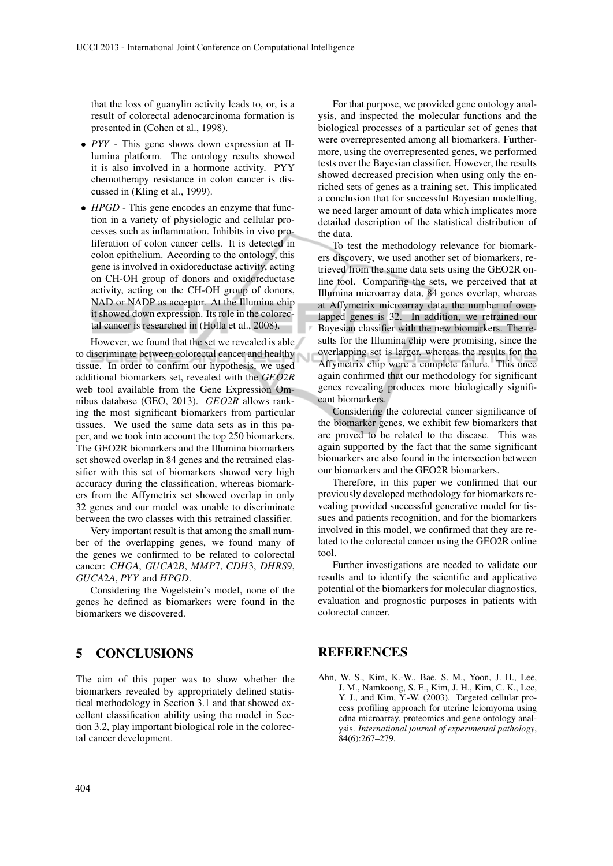that the loss of guanylin activity leads to, or, is a result of colorectal adenocarcinoma formation is presented in (Cohen et al., 1998).

- *PYY* This gene shows down expression at Illumina platform. The ontology results showed it is also involved in a hormone activity. PYY chemotherapy resistance in colon cancer is discussed in (Kling et al., 1999).
- *HPGD* This gene encodes an enzyme that function in a variety of physiologic and cellular processes such as inflammation. Inhibits in vivo proliferation of colon cancer cells. It is detected in colon epithelium. According to the ontology, this gene is involved in oxidoreductase activity, acting on CH-OH group of donors and oxidoreductase activity, acting on the CH-OH group of donors, NAD or NADP as acceptor. At the Illumina chip it showed down expression. Its role in the colorectal cancer is researched in (Holla et al., 2008).

However, we found that the set we revealed is able to discriminate between colorectal cancer and healthy tissue. In order to confirm our hypothesis, we used additional biomarkers set, revealed with the *GEO*2*R* web tool available from the Gene Expression Omnibus database (GEO, 2013). *GEO*2*R* allows ranking the most significant biomarkers from particular tissues. We used the same data sets as in this paper, and we took into account the top 250 biomarkers. The GEO2R biomarkers and the Illumina biomarkers set showed overlap in 84 genes and the retrained classifier with this set of biomarkers showed very high accuracy during the classification, whereas biomarkers from the Affymetrix set showed overlap in only 32 genes and our model was unable to discriminate between the two classes with this retrained classifier.

Very important result is that among the small number of the overlapping genes, we found many of the genes we confirmed to be related to colorectal cancer: *CHGA*, *GUCA*2*B*, *MMP*7, *CDH*3, *DHRS*9, *GUCA*2*A*, *PYY* and *HPGD*.

Considering the Vogelstein's model, none of the genes he defined as biomarkers were found in the biomarkers we discovered.

### 5 CONCLUSIONS

The aim of this paper was to show whether the biomarkers revealed by appropriately defined statistical methodology in Section 3.1 and that showed excellent classification ability using the model in Section 3.2, play important biological role in the colorectal cancer development.

For that purpose, we provided gene ontology analysis, and inspected the molecular functions and the biological processes of a particular set of genes that were overrepresented among all biomarkers. Furthermore, using the overrepresented genes, we performed tests over the Bayesian classifier. However, the results showed decreased precision when using only the enriched sets of genes as a training set. This implicated a conclusion that for successful Bayesian modelling, we need larger amount of data which implicates more detailed description of the statistical distribution of the data.

To test the methodology relevance for biomarkers discovery, we used another set of biomarkers, retrieved from the same data sets using the GEO2R online tool. Comparing the sets, we perceived that at Illumina microarray data, 84 genes overlap, whereas at Affymetrix microarray data, the number of overlapped genes is 32. In addition, we retrained our Bayesian classifier with the new biomarkers. The results for the Illumina chip were promising, since the overlapping set is larger, whereas the results for the Affymetrix chip were a complete failure. This once again confirmed that our methodology for significant genes revealing produces more biologically significant biomarkers.

Considering the colorectal cancer significance of the biomarker genes, we exhibit few biomarkers that are proved to be related to the disease. This was again supported by the fact that the same significant biomarkers are also found in the intersection between our biomarkers and the GEO2R biomarkers.

Therefore, in this paper we confirmed that our previously developed methodology for biomarkers revealing provided successful generative model for tissues and patients recognition, and for the biomarkers involved in this model, we confirmed that they are related to the colorectal cancer using the GEO2R online tool.

Further investigations are needed to validate our results and to identify the scientific and applicative potential of the biomarkers for molecular diagnostics, evaluation and prognostic purposes in patients with colorectal cancer.

#### REFERENCES

Ahn, W. S., Kim, K.-W., Bae, S. M., Yoon, J. H., Lee, J. M., Namkoong, S. E., Kim, J. H., Kim, C. K., Lee, Y. J., and Kim, Y.-W. (2003). Targeted cellular process profiling approach for uterine leiomyoma using cdna microarray, proteomics and gene ontology analysis. *International journal of experimental pathology*, 84(6):267–279.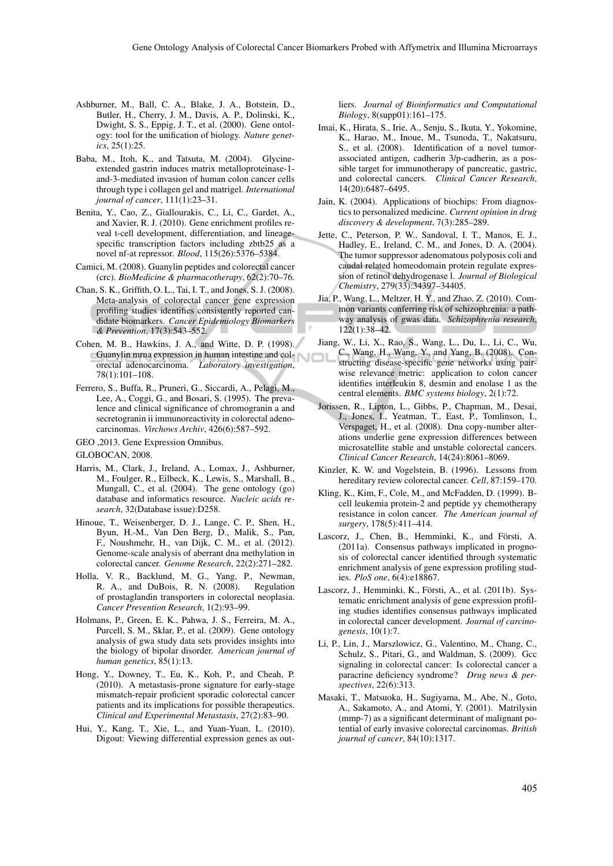- Ashburner, M., Ball, C. A., Blake, J. A., Botstein, D., Butler, H., Cherry, J. M., Davis, A. P., Dolinski, K., Dwight, S. S., Eppig, J. T., et al. (2000). Gene ontology: tool for the unification of biology. *Nature genetics*, 25(1):25.
- Baba, M., Itoh, K., and Tatsuta, M. (2004). Glycineextended gastrin induces matrix metalloproteinase-1 and-3-mediated invasion of human colon cancer cells through type i collagen gel and matrigel. *International journal of cancer*, 111(1):23–31.
- Benita, Y., Cao, Z., Giallourakis, C., Li, C., Gardet, A., and Xavier, R. J. (2010). Gene enrichment profiles reveal t-cell development, differentiation, and lineagespecific transcription factors including zbtb25 as a novel nf-at repressor. *Blood*, 115(26):5376–5384.
- Camici, M. (2008). Guanylin peptides and colorectal cancer (crc). *BioMedicine & pharmacotherapy*, 62(2):70–76.
- Chan, S. K., Griffith, O. L., Tai, I. T., and Jones, S. J. (2008). Meta-analysis of colorectal cancer gene expression profiling studies identifies consistently reported candidate biomarkers. *Cancer Epidemiology Biomarkers & Prevention*, 17(3):543–552.
- Cohen, M. B., Hawkins, J. A., and Witte, D. P. (1998). Guanylin mrna expression in human intestine and colorectal adenocarcinoma. *Laboratory investigation*, 78(1):101–108.
- Ferrero, S., Buffa, R., Pruneri, G., Siccardi, A., Pelagi, M., Lee, A., Coggi, G., and Bosari, S. (1995). The prevalence and clinical significance of chromogranin a and secretogranin ii immunoreactivity in colorectal adenocarcinomas. *Virchows Archiv*, 426(6):587–592.
- GEO ,2013. Gene Expression Omnibus.

GLOBOCAN, 2008.

- Harris, M., Clark, J., Ireland, A., Lomax, J., Ashburner, M., Foulger, R., Eilbeck, K., Lewis, S., Marshall, B., Mungall, C., et al. (2004). The gene ontology (go) database and informatics resource. *Nucleic acids research*, 32(Database issue):D258.
- Hinoue, T., Weisenberger, D. J., Lange, C. P., Shen, H., Byun, H.-M., Van Den Berg, D., Malik, S., Pan, F., Noushmehr, H., van Dijk, C. M., et al. (2012). Genome-scale analysis of aberrant dna methylation in colorectal cancer. *Genome Research*, 22(2):271–282.
- Holla, V. R., Backlund, M. G., Yang, P., Newman, R. A., and DuBois, R. N. (2008). Regulation of prostaglandin transporters in colorectal neoplasia. *Cancer Prevention Research*, 1(2):93–99.
- Holmans, P., Green, E. K., Pahwa, J. S., Ferreira, M. A., Purcell, S. M., Sklar, P., et al. (2009). Gene ontology analysis of gwa study data sets provides insights into the biology of bipolar disorder. *American journal of human genetics*, 85(1):13.
- Hong, Y., Downey, T., Eu, K., Koh, P., and Cheah, P. (2010). A metastasis-prone signature for early-stage mismatch-repair proficient sporadic colorectal cancer patients and its implications for possible therapeutics. *Clinical and Experimental Metastasis*, 27(2):83–90.
- Hui, Y., Kang, T., Xie, L., and Yuan-Yuan, L. (2010). Digout: Viewing differential expression genes as out-

liers. *Journal of Bioinformatics and Computational Biology*, 8(supp01):161–175.

- Imai, K., Hirata, S., Irie, A., Senju, S., Ikuta, Y., Yokomine, K., Harao, M., Inoue, M., Tsunoda, T., Nakatsuru, S., et al. (2008). Identification of a novel tumorassociated antigen, cadherin 3/p-cadherin, as a possible target for immunotherapy of pancreatic, gastric, and colorectal cancers. *Clinical Cancer Research*, 14(20):6487–6495.
- Jain, K. (2004). Applications of biochips: From diagnostics to personalized medicine. *Current opinion in drug discovery & development*, 7(3):285–289.
- Jette, C., Peterson, P. W., Sandoval, I. T., Manos, E. J., Hadley, E., Ireland, C. M., and Jones, D. A. (2004). The tumor suppressor adenomatous polyposis coli and caudal related homeodomain protein regulate expression of retinol dehydrogenase l. *Journal of Biological Chemistry*, 279(33):34397–34405.
- Jia, P., Wang, L., Meltzer, H. Y., and Zhao, Z. (2010). Common variants conferring risk of schizophrenia: a pathway analysis of gwas data. *Schizophrenia research*, 122(1):38–42.
- Jiang, W., Li, X., Rao, S., Wang, L., Du, L., Li, C., Wu, C., Wang, H., Wang, Y., and Yang, B. (2008). Constructing disease-specific gene networks using pairwise relevance metric: application to colon cancer identifies interleukin 8, desmin and enolase 1 as the central elements. *BMC systems biology*, 2(1):72.
- Jorissen, R., Lipton, L., Gibbs, P., Chapman, M., Desai, J., Jones, I., Yeatman, T., East, P., Tomlinson, I., Verspaget, H., et al. (2008). Dna copy-number alterations underlie gene expression differences between microsatellite stable and unstable colorectal cancers. *Clinical Cancer Research*, 14(24):8061–8069.
- Kinzler, K. W. and Vogelstein, B. (1996). Lessons from hereditary review colorectal cancer. *Cell*, 87:159–170.
- Kling, K., Kim, F., Cole, M., and McFadden, D. (1999). Bcell leukemia protein-2 and peptide yy chemotherapy resistance in colon cancer. *The American journal of surgery*, 178(5):411–414.
- Lascorz, J., Chen, B., Hemminki, K., and Försti, A. (2011a). Consensus pathways implicated in prognosis of colorectal cancer identified through systematic enrichment analysis of gene expression profiling studies. *PloS one*, 6(4):e18867.
- Lascorz, J., Hemminki, K., Försti, A., et al. (2011b). Systematic enrichment analysis of gene expression profiling studies identifies consensus pathways implicated in colorectal cancer development. *Journal of carcinogenesis*, 10(1):7.
- Li, P., Lin, J., Marszlowicz, G., Valentino, M., Chang, C., Schulz, S., Pitari, G., and Waldman, S. (2009). Gcc signaling in colorectal cancer: Is colorectal cancer a paracrine deficiency syndrome? *Drug news & perspectives*, 22(6):313.
- Masaki, T., Matsuoka, H., Sugiyama, M., Abe, N., Goto, A., Sakamoto, A., and Atomi, Y. (2001). Matrilysin (mmp-7) as a significant determinant of malignant potential of early invasive colorectal carcinomas. *British journal of cancer*, 84(10):1317.